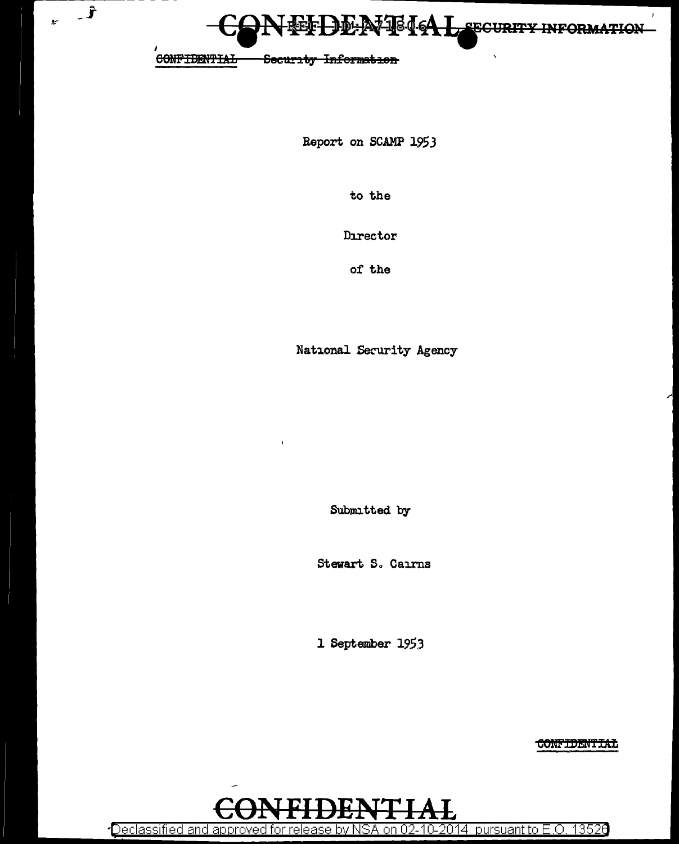

 $\bar{\mathbf{v}}$ 

CONFIDENTIAL

 $\hat{J}$ 

 $\mathbf{r}$ 

Security Information

Report on SCAMP 1953

to the

Director

of the

National Security Agency

Submitted by

Stewart S. Cairns

1 September 1953

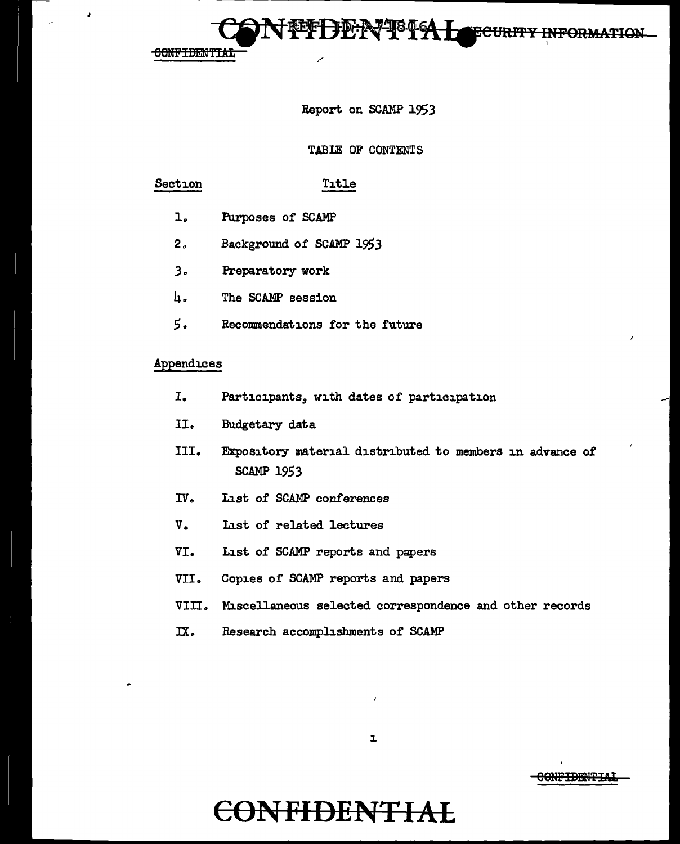I

### Report on SCAMP 1953

<del>ecurity</del>

 $\mapsto$ 

#### TABLE OF CONTENTS

#### Section Title

- 1. Purposes of SCAMP
- 2. Background of SCAMP 1953
- .3., Preparatory work
- 4. The SCAMP session
- *5.* Recommendations for the future

#### Appendices

- I. Participants, with dates of participation
- II. Budgetary data
- III. Expository material distributed to members in advance of SCAMP 1953
- IV. List of SCAMP conferences
- V. List of related lectures
- VI. List of SCAMP reports and papers
- VII. Copies of SCAMP reports and papers
- VIII. Miscellaneous selected correspondence and other records
- IX. Research accomplishments of SCAMP



OONFIBEN'l'Y.t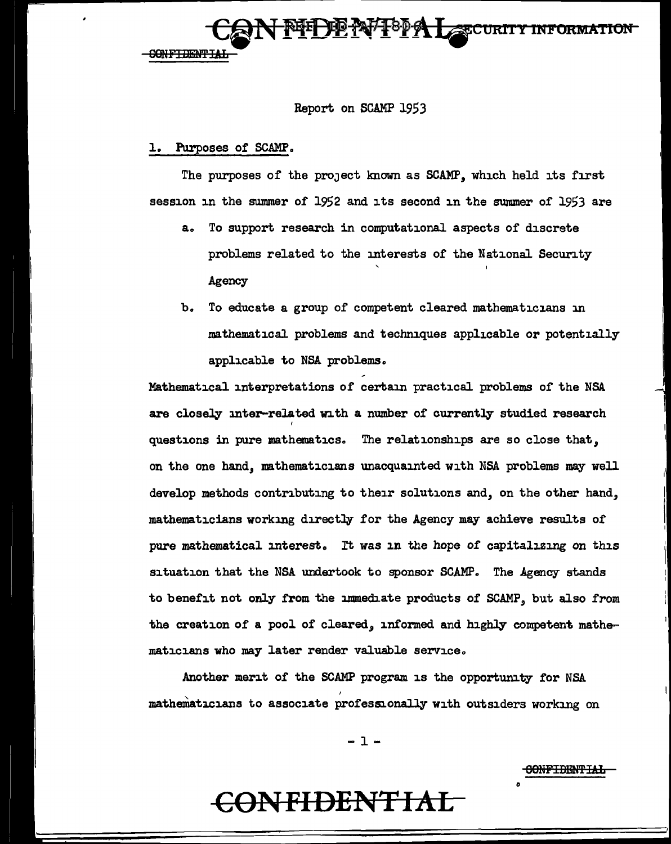

#### Report on SCAMP 1953

#### Purposes of SCAMP.

The purposes of the project known as SCAMP, which held its first session in the swnmer of 1952 and its second in the summer of 1953 are

- a.. To support research in computational aspects of discrete problems related to the interests of the National Security Agency
- b. To educate a group of competent cleared mathematicians in mathematical problems and techniques applicable or potentially applicable to NBA problems.

Mathematical interpretations of certam practical problems of the NSA are closely inter-related with a number of currently studied research I questions in pure mathematics.. The relationships are so close that, on the one hand, mathematicians unacquainted with NSA problems may well develop methods contributing to their solutions and, on the other hand, mathematicians working directly for the Agency may achieve results of pure mathematical interest. It was in the hope of capitalizing on this situation that the NSA undertook to sponsor SCAMP. The Agency stands to benefit not only from the immediate products of SCAMP, but also from the creation of a pool of cleared, informed and highly competent mathematicians who may later render valuable service.,

Another merit of the SCAMP program is the opportunity for NSA I mathematicians to associate professionally with outsiders working on

-1-

60NFIBBH'fIAI:i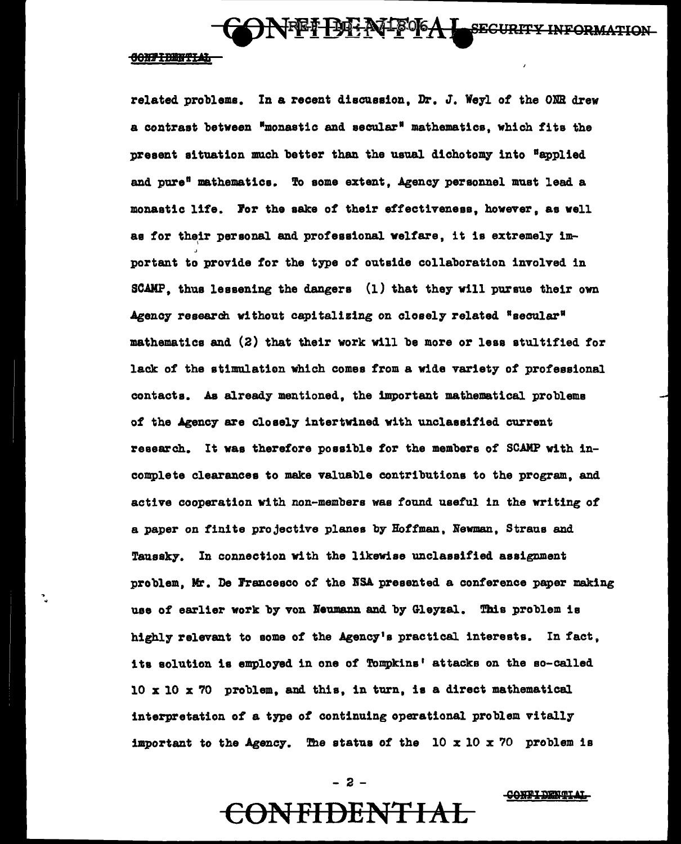HEI BENTOGAL SECURITY INFORMATION

#### **CONFIDENTIAL**

related problems. In a recent discussion, Dr. J. Weyl of the ONR drew a contrast between •monastic and secular• mathematics, which fits the present situation much better than the usual dichotomy into "applied and pure<sup>s</sup> mathematics. To some extent, Agency personnel must lead a monastic life. Jor the sake of their effectiveness, however, as well as for their personal and professional welfare, it is extremely im- ' portant to provide for the type of outside collaboration involved in SCAMP, thus lessening the dangers (1) that they will pursue their own Agency research without capitalizing on closely related  $"$ secular $"$ mathematics and (2) that their work will be more or leas stultified for lack of the stimulation which comes from a wide variety of professional contacts. As already mentioned, the important mathematical problems of the Agency are closely intertwined with unclassified current research. It was therefore possible for the members of SCAMP with incomplete clearances to make valuable contributions to the program, and active cooperation with non-members was found useful in the writing of a paper on finite projective planes by Hoffman, Newman, Straus and Taussky. In connection with the likewise unclassified assignment problem, Mr. De Jrancesco of the BSA presented a conference paper making use of earlier work by von Neumann and by Gleyzal. This problem is highly relevant to some of the Agency's practical interests. In fact, its solution is employed in one of Tompkins' attacks on the so-called 10 x 10 x 70 problem, and this, in turn, is a direct mathematical interpretation of a type of continuing operational problem vitally important to the Agency. The status of the  $10 \times 10 \times 70$  problem is

- 2 -

CONFIDENTIAL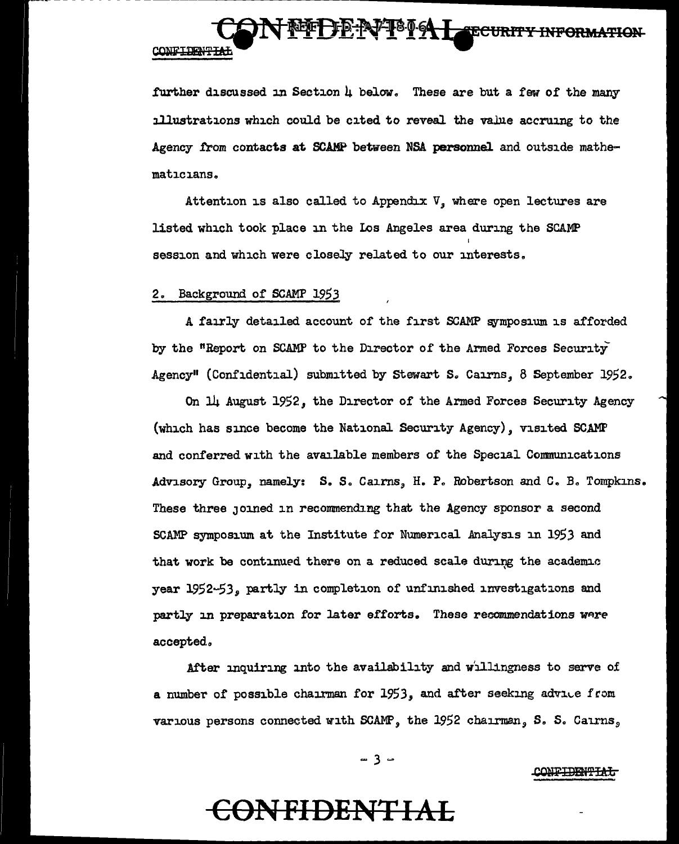further discussed in Section 4 below. These are but a few of the many illustrations which could be cited to reveal the value accruing to the Agency from contacts at SCAMP between NSA personnel and outside mathematicians.

**NET DE NTE DE LA CECURITY INFORMATION** 

Attention is also called to Appendix  $V$ , where open lectures are listed which took place in the Los Angeles area during the SCAMP session and which were closely related to our interests.

#### 2. Background of SCAMP 1953

A fairly detailed account of the first SCAMP symposium is afforded by the "Report on SCAMP to the Director of the Armed Forces Security Agency" (Confidential) submitted by Stewart S. Cairns. 8 September 1952.

On 14 August 1952, the Director of the Armed Forces Security Agency (which has since become the National Security Agency), visited SCAMP and conferred with the available members of the Special Communications Advisory Group, namely: S. S. Cairns, H. P. Robertson and C. B. Tompkins. These three joined in recommending that the Agency sponsor a second SCAMP symposium at the Institute for Numerical Analysis in 1953 and that work be continued there on a reduced scale during the academic year 1952-53, partly in completion of unfinished investigations and partly in preparation for later efforts. These recommendations were accepted.

After inquiring into the availability and willingness to serve of a number of possible chairman for 1953, and after seeking advice from various persons connected with SCAMP, the 1952 chairman, S. S. Cairns,

 $-3 -$ 

**CONFIDENTIAL**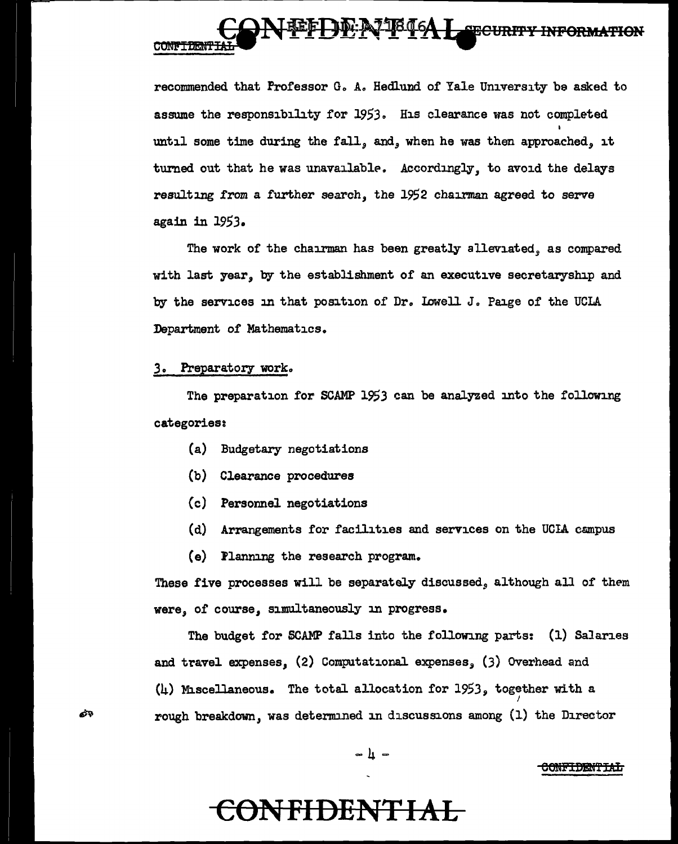### **FREEDER TELEAL SECURITY INFORMATION** CONFIDENT

recommended that Professor G. A. Hedlund of Yale University be asked to assume the responsibility for 1953. His clearance was not completed until some time during the fall,, and, when he was then approached, it turned out that he was unavailable. Accordingly, to avoid the delays resulting from a further search, the 1952 chairman agreed to serve again in 1953.

The work of the chairman has been greatly alleviated, as compared with last year, by the establishment of an executive secretaryship and by the services in that position of Dr. Lowell J. Paige of the UCLA Department of Mathematics.

#### .3. Preparatory work.

යත

The preparation for SCAMP 1953 can be analyzed into the following categories:

- (a) Budgetary negotiations
- (b) Clearance procedures
- (c) Personnel negotiations
- (d) Arrangements for facilities and services on the UCIA campus
- (e) Flanning the research program.

These five processes will be separately discussed, although all of them were, of course, simultaneously in progress.

The budget for SCAMP falls into the following parts: (1) Salaries and travel expenses, (2) Computational expenses, (3) Overhead and (4) Miscellaneous. The total allocation for  $1953$ , together with a rough breakdown,, was determined in discussions among (1) the Director

$$
= 4 =
$$

#### <del>CONFIDENTIAL</del>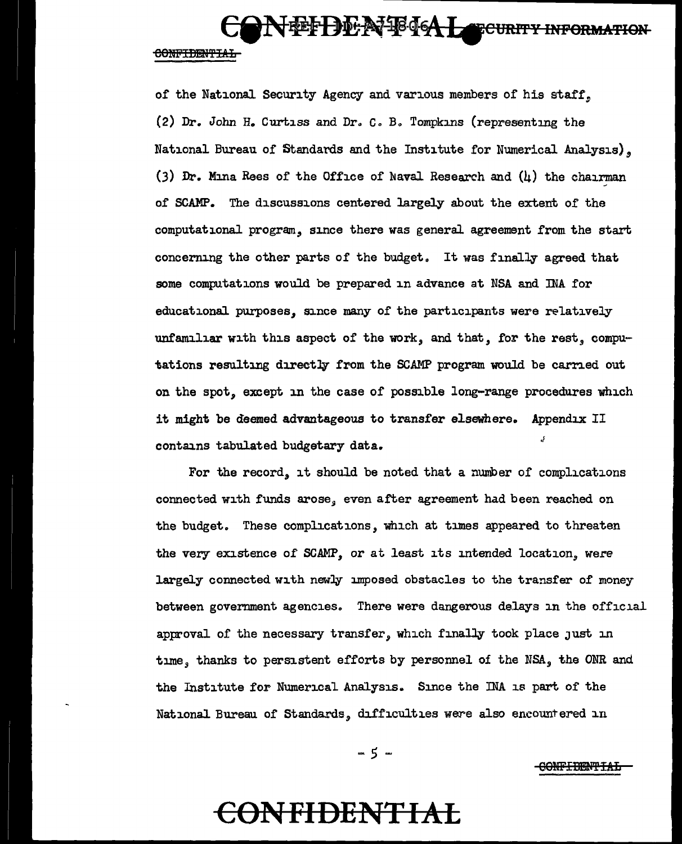NEFDENFIGAL TEURITY INFORMATION CONFIDENTIAL

of the National Security Agency and various members of his staff\_, (2) Dr. John H. Curtiss and *Dro Ca Ba* Tompkins (representing the National Bureau of Standards and the Institute for Numerical Analysis). (3) Dr. Mina Rees of the Office of Naval Research and  $(h)$  the chairman of SCAMP. The discussions centered largely about the extent of the computational program, since there was general agreement from the start concerning the other parts of the budget. It was finally agreed that some computations would be prepared in advance at NSA and INA for educational purposes, since many of the participants were relatively unfamiliar with this aspect of the work, and that, for the rest, computations resulting directly from the SCAMP program would be carried out on the spot, except in the case of possible long-range procedures which it might be deemed advantageous to transfer elsewhere. Appendix II contains tabulated budgetary data.

For the record, it should be noted that a number of complications connected with funds arose, even after agreement had been reached on the budget. These complications, which at times appeared to threaten the very existence of SCAMP, or at least its intended location, were largely connected with newly imposed obstacles to the transfer of money between government agencies. There were dangerous delays in the official approval of the necessary transfer, which finally took place just in time, thanks to persistent efforts by personnel of the NSA, the ONR and the Institute for Nwnerical Analysis. Since the INA is part of the National Bureau of Standards, difficulties were also encountered in

 $-5 -$ 

 $\overline{\text{COMF}}$  Industrial

### ceN **FIDENTIA:L**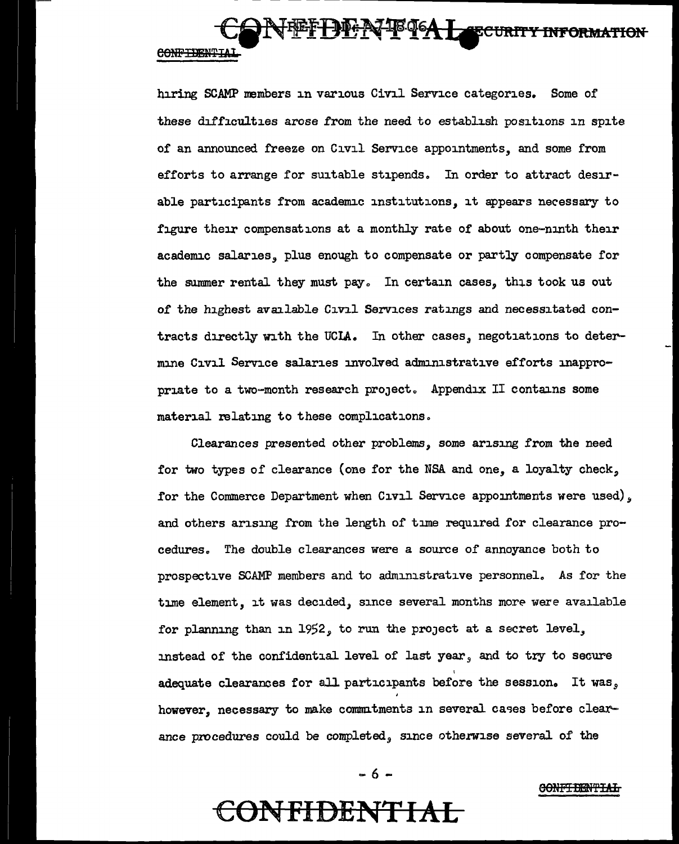

hiring SCAMP members in various Civil Service categories. Some of these difficulties arose from the need to establish positions in spite of an announced freeze on Civil Service appointments, and some from efforts to arrange for suitable stipends. In order to attract desirable participants from academic institutions, it appears necessary to figure their compensations at a monthly rate of about one-ninth their academic salaries, plus enough to compensate or partly compensate for the summer rental they must pay. In certain cases, this took us out of the highest available Civil Services ratings and necessitated contracts directly with the UCLA. In other cases, negotiations to determine Civil Service salaries involved administrative efforts inappropriate to a two-month research project. Appendix II contains some material relating to these complications.

Clearances presented other problems, some arising from the need for two types of clearance (one for the NSA and one, a loyalty check, for the Commerce Department when Civil Service appointments were used), and others arising from the length of time required for clearance procedures. The double clearances were a source of annoyance both to prospective SCAMP members and to administrative personnel. As for the time element, it was decided, since several months more were available for planning than in 1952, to run the project at a secret level, instead of the confidential level of last year, and to try to secure adequate clearances for all participants before the session. It was, however, necessary to make commitments in several cases before clearance procedures could be completed, since otherwise several of the

 $-6 -$ 

CONF<del>TIENTIAL</del>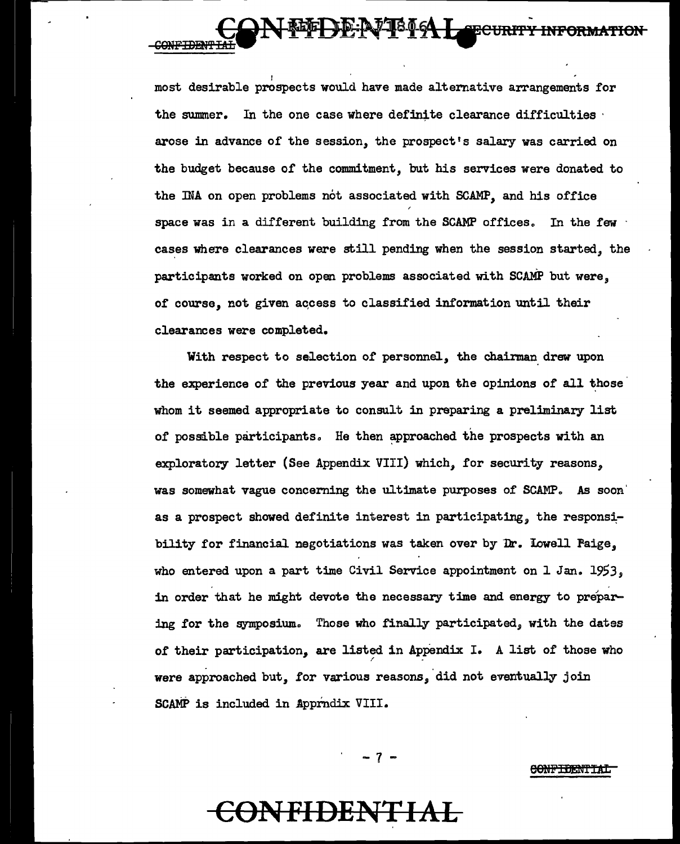most desirable prospects would have made alternative arrangements for the summer. In the one case where definite clearance difficulties  $\cdot$ arose in advance of the session, the prospect's salary was carried on the budget because of the commitment, but his services were donated to the INA on open problems not associated with SCAMP, and his office space was in a different building from the SCAMP offices. In the few  $\cdot$ cases where clearances were still pending when the session started, the participants worked on open problems associated with SCAMP but were, of course, not given aqcess to classified information until their clearances were completed.

**Cin 10-12-0-64 Lee CURF** 

SONF<del>TDENT</del>

With respect to selection of personnel, the chairman drew upon the experience of the previous year and upon the opinions of all those whom it seemed appropriate to consult in preparing a preliminary list of possible participants. He then approached the prospects with an exploratory letter (See Appendix VIII) which, for security reasons, was somewhat vague concerning the ultimate purposes of SCAMP. As soon' as a prospect showed definite interest in participating, the responsibility for financial negotiations was taken over by Dr. Lowell Paige, who entered upon a part time Civil Service appointment on 1 Jan. 1953, in order that he might devote the necessary time and energy to preparing for the symposium. Those who finally participated, with the dates of their participation, are listed in Appendix I. A list of those who were approached but, for various reasons, did not eventually join SCAMP is included in Apprndix VIII.

#### e<del>onfidentia</del>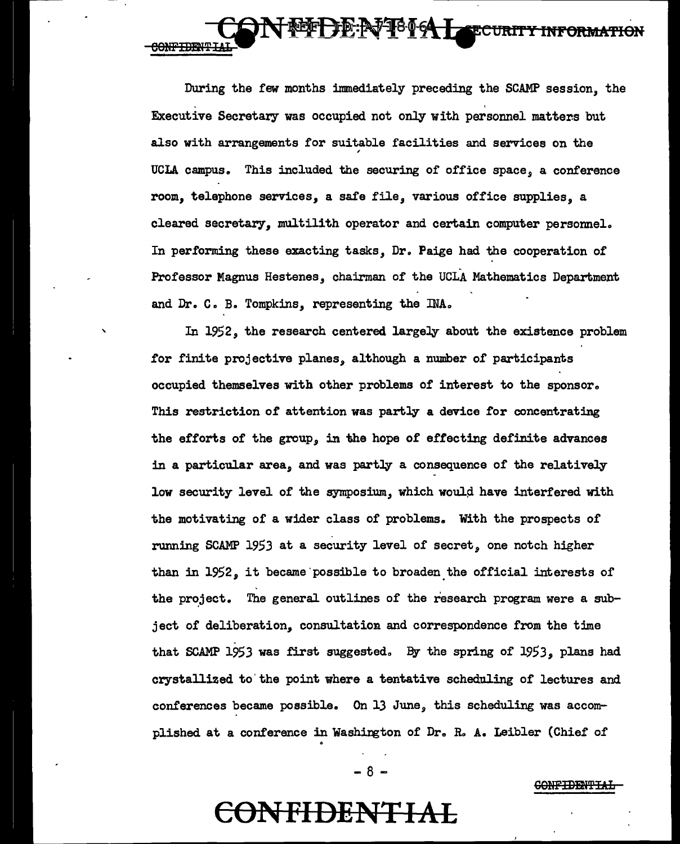During the few months immediately preceding the SCAMP session, the  $\mathbf{r}$  . The set of the set of the set of the set of the set of the set of the set of the set of the set of the set of the set of the set of the set of the set of the set of the set of the set of the set of the set of t Executive Secretary was occupied not only with personnel matters but also with arrangements for suitable facilities and services on the UCLA campus. This included the securing of office space, a conference room, telephone services, a safe file, various office supplies, a cleared secretary, multilith operator and certain computer personnel. In performing these exacting tasks, Dr. Paige had the cooperation of Professor Magnus Hestenes, chairman of the UCLA Mathematics Department

**DE:AFF8064 LeECURITY** 

<del>INFORMATION</del>

and Dr. C. B. Tompkins, representing the INA.

'

CONFIDENTIA

In 1952, the research centered largely about the existence problem for finite projective planes, although a number of participants occupied themselves with other problems of interest to the sponsor. This restriction of attention was partly a device for concentrating the efforts of the group, in the hope of effecting definite advances in a particular area, and was partly a consequence of the relatively low security level of the symposium, which would have interfered with the motivating of a wider class of problems. With the prospects of running SCAMP 1953 at a security level of secret, one notch higher than in 1952, it became possible to broaden the official interests of the project. The general outlines of the research program were a subject of deliberation, consultation and correspondence from the time that SCAMP 1953 was first suggested. By the spring of 1953, plans had crystallized to' the point where a tentative scheduling of lectures and conferences became possible. On 13 June, this scheduling was accomplished at a conference in Washington of Dr. R. A. Leibler (Chief of

 $- 8 -$ 

**CONFIDENTIAL** 

### **CONFIDENTIAL**

0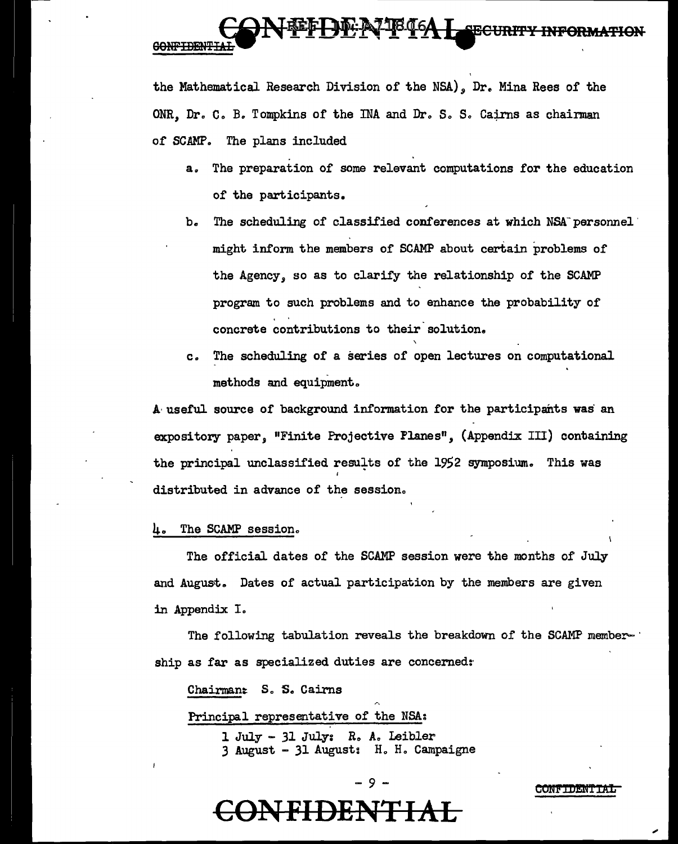### **DE AZTBOGA LEECURIT GONFIDENTI**

the Mathematical Research Division of the NSA), Dr. Mina Rees of the ONR. Dr. C. B. Tompkins of the INA and Dr. S. S. Cairns as chairman of SCAMP. The plans included

- a. The preparation of some relevant computations for the education of the participants.
- b. The scheduling of classified conferences at which NSA personnel might inform the members of SCAMP about certain problems of the Agency, so as to clarify the relationship of the SCAMP program to such problems and to enhance the probability of . . concrete contributions to their.solution.
- *Co* The scheduling of a series of open lectures on computational methods and equipment.

A· useful source of background information for the participants was an expository paper, "Finite Projective Flanes", (Appendix III) containing the principal unclassified results of the 1952 symposium. This was distributed in advance of the session.

#### $\mu$ . The SCAMP session.

The official dates of the SCAMP session were the months of July and August. Dates of actual participation by the members are given in Appendix I.

The following tabulation reveals the breakdown of the SCAMP member- $\cdot$ ship as far as specialized duties are concerned:

Chairman: S. S. Cairns Principal representative of the NSA:

> l July - 31 July: R., A. Ieibler 3 August - 31 August: H. Ho Campaigne

### - 9 -

#### CONFTDENTTA

**CONFIDEN'FIAL**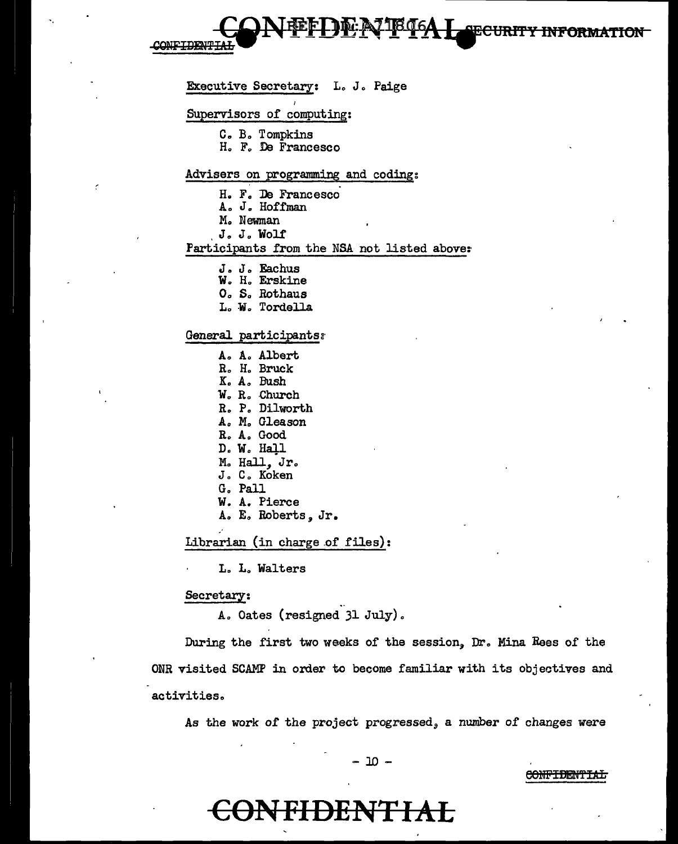Executive Secretary: L. J. Paige Supervisors of computing: C. B. Tompkins H. F. De Francesco Advisers on programming and coding: H. F. De Francesco A. J. Hoffman M. Newman J. J. Wolf Participants from the NSA not listed above: J. J. Eachus W. H. Erskine O. S. Rothaus L. W. Tordella General participants: A. A. Albert R. H. Bruck K. A. Bush W. R. Church R. P. Dilworth A. M. Gleason R. A. Good D. W. Hall M. Hall, Jr. J. C. Koken G. Pall W. A. Pierce A. E. Roberts, Jr. Librarian (in charge of files):

L. L. Walters

#### Secretary:

A. Oates (resigned 31 July).

During the first two weeks of the session, Dr. Mina Rees of the ONR visited SCAMP in order to become familiar with its objectives and activities.

As the work of the project progressed, a number of changes were

- 10 -

#### **CONFIDENTIAL**

### <del>ONFIDENTIAL</del>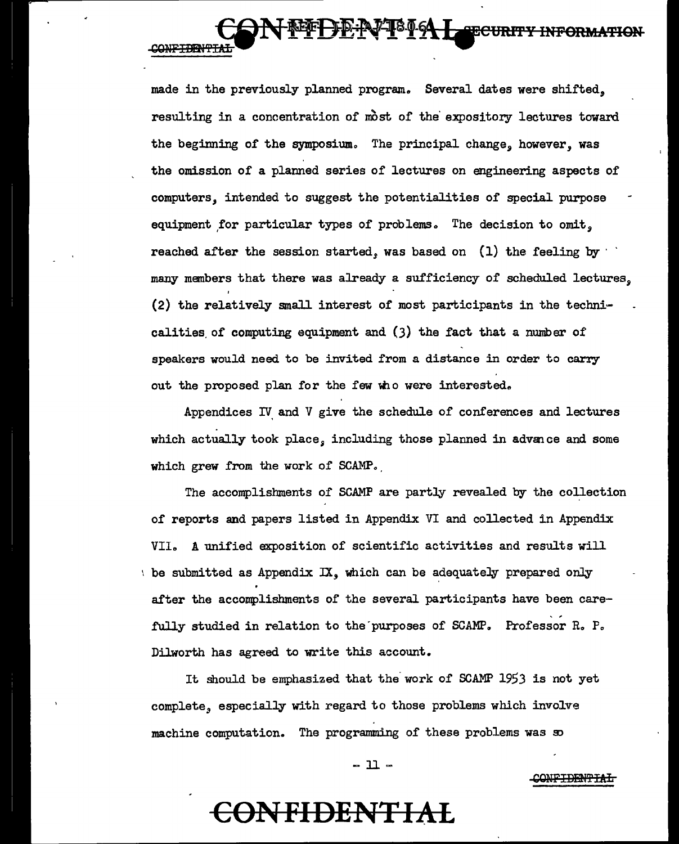made in the previously planned program. Several dates were shifted. resulting in a concentration of most of the expository lectures toward the beginning of the symposium. The principal change, however, was the omission of a planned series of lectures on engineering aspects of computers, intended to suggest the potentialities of special purpose equipment for particular types of problems. The decision to omit, reached after the session started, was based on  $(1)$  the feeling by  $\cdot$ many members that there was already a sufficiency of scheduled lectures, (2) the relatively small interest of most participants in the technicalities of computing equipment and  $(3)$  the fact that a number of

**CONFIDENTT** 

DERPT<sup>8</sup>19 Leecurity Information

speakers would need to be invited from a distance in order to carry out the proposed plan for the few who were interested.

Appendices IV and  $V$  give the schedule of conferences and lectures which actually took place, including those planned in advance and some which grew from the work of SCAMP.

The accomplishments of SCAMP are partly revealed by the collection of reports and papers listed in Appendix VI and collected in Appendix VII. A unified exposition of scientific activities and results will be submitted as Appendix  $IX$ , which can be adequately prepared only after the accomplishments of the several participants have been carefully studied in relation to the purposes of SCAMP. Professor R. P. Dilworth has agreed to write this account.

It should be emphasized that the work of SCAMP 1953 is not yet complete, especially with regard to those problems which involve machine computation. The programming of these problems was so

 $-11-$ 

# **CONFIDENTIAL**

CONF<del>IDENTIAL</del>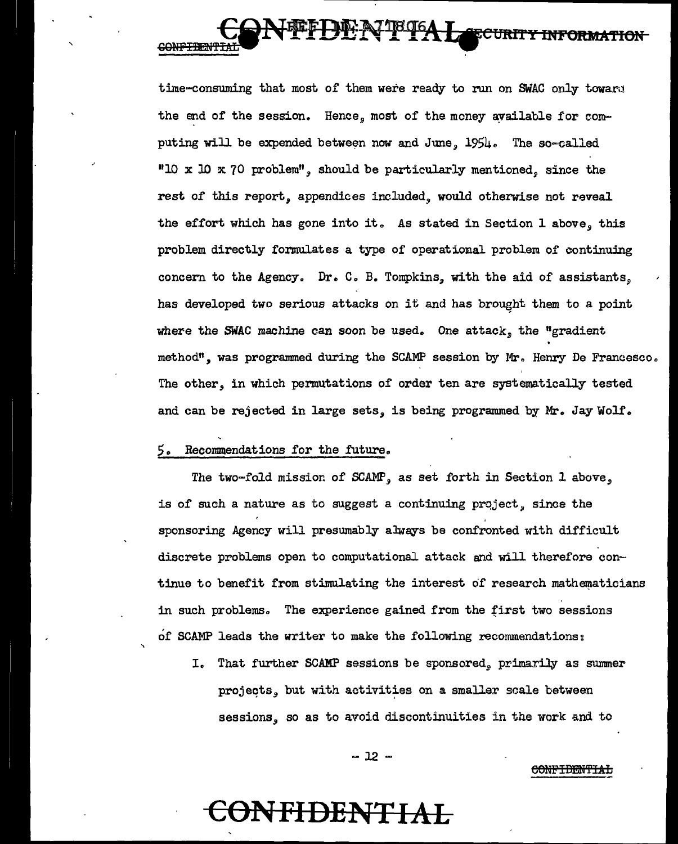<del>ECURIT</del> CONFIDENT

time-consuming that most of them were ready to run on SWAC only toward the end of the session. Hence, most of the money available for computing will be expended between now and June,  $1954$ . The so=called "10 x 10 x 70 problem", should be particularly mentioned, since the rest of this report, appendices included, would otherwise not reveal the effort which has gone into it. As stated in Section 1 above, this problem directly fonnulates a type of operational problem of continuing concern to the Agency. Dr. C. B. Tompkins, with the aid of assistants, has developed two serious attacks on it and has brought them to a point where the SWAC machine can soon be used. One attack, the "gradient" method", was programmed during the SCAMP session by Mr. Henry De Francesco. The other, in which permutations of order ten are systematically tested and can be rejected in large sets, is being programmed by Mr. Jay Wolf.

#### $5.$  Recommendations for the future.

The two-fold mission of SCAMP, as set forth in Section 1 above, is of such a nature as to suggest a continuing  $project$ , since the sponsoring Agency will presumably ahrays be confronted with difficult discrete problems open to computational attack and will therefore continue to benefit from stimulating the interest of research mathematicians in such problems. The experience gained from the first two sessions of SCAMP leads the writer to make the following recommendations:

I. That further SCAMP sessions be sponsored, primarily as summer projects, but with activities on a smaller scale between sessions, so as to avoid discontinuities in the work and to

eONPIBEM'fIAL

 $-12 -$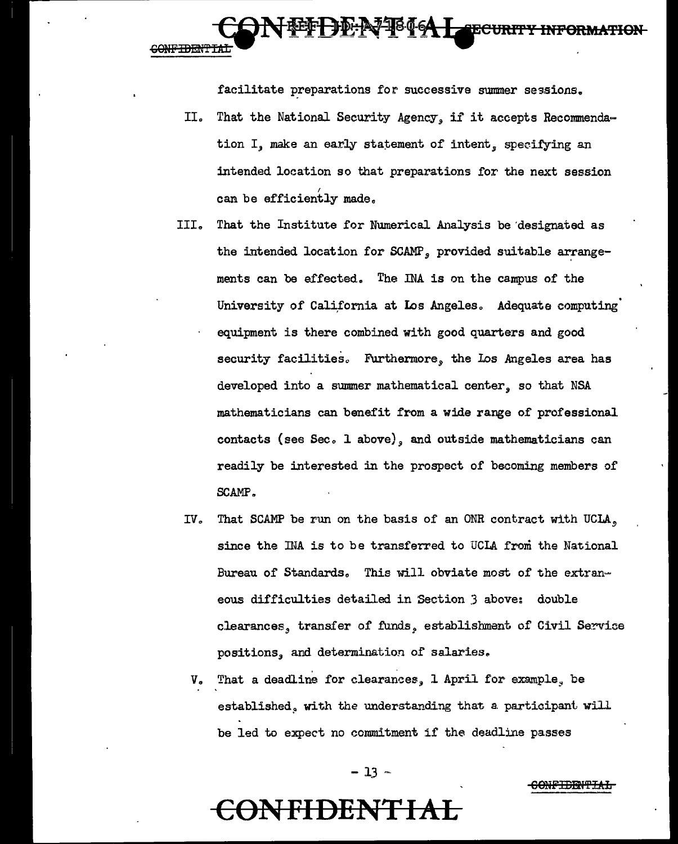**DID-AJ-1846A LEECURITY INFORMATION GONFIDENTI** 

facilitate preparations for successive summer sessions.

- II. That the National Security Agency, if it accepts Recommendation  $I$ , make an early statement of intent, specifying an intended location so that preparations for the next session can be efficiently made.
- III. That the Institute for Numerical Analysis be 'designated as the intended location for SCAMP, provided suitable arrangements can be effected. The INA is on the campus of the University of California at Los Angeles. Adequate computing equipment is there combined with good quarters and good security facilities. Furthermore, the Los Angeles area has developed into a summer mathematical center, so that NSA mathematicians can benefit from a wide range of professional contacts (see Sec. 1 above), and outside mathematicians can readily be interested in the prospect of becoming members of SCAMP *<sup>a</sup>*
- IV. That SCAMP be run on the basis of an ONR contract with UCLA, since the INA is to be transferred to UCLA from the National Bureau of Standards. This will obviate most of the extraneous difficulties detailed in Section *3* above: double clearances, transfer of funds, establishment of Civil Service positions, and determination of salaries.
	- V. That a deadline for clearances, 1 April for example, be established. with the understanding that a participant will be led to expect no commitment if the deadline passes

 $-13 -$ 

**CONFIDENT** 

60UFIBEN't'IA1:i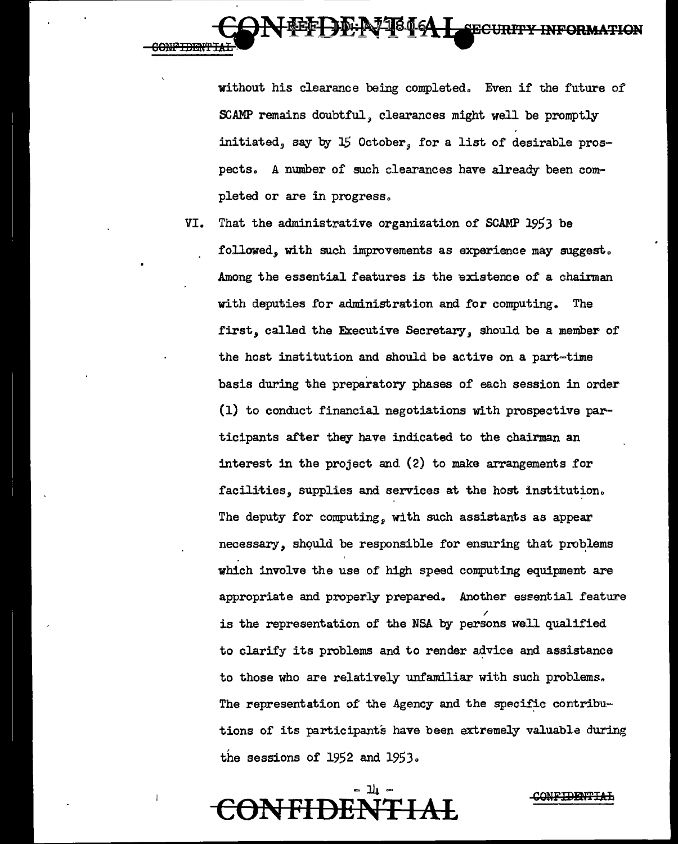

without his clearance being completed. Even if the future of SCAMP remains doubtful, clearances might well be promptly initiated, say by  $15$  October, for a list of desirable prospects. A number of such clearances have already been completed or are in progress.

VI. That the administrative organization of SCAMP 1953 be followed, with such improvements as experience may suggest. Among the essential features is the existence of a chairman with deputies for administration and for computing. The first, called the Executive Secretary *a* should be a member of the host institution and should be active on a part~time basis during the preparatory phases of each session in order. (1) to conduct financial negotiations with prospective participants after they have indicated to the chairman an interest in the project and  $(2)$  to make arrangements for facilities, supplies and services at the host institution. The deputy for computing, with such assistants as appear necessary, should be responsible for ensuring that problems which involve the use of high speed computing equipment are appropriate and properly prepared. Another essential feature / is the representation of the NSA by persons well qualified to clarify its problems and to render advice and assistance to those who are relatively unfamiliar with such problems. The representation of the Agency and the specific contributions of its participants have been extremely valuable during , the sessions of  $1952$  and  $1953$ .

### - 14 <del>JFHDEP</del>

#### QQ!IF:EYEN'PIAL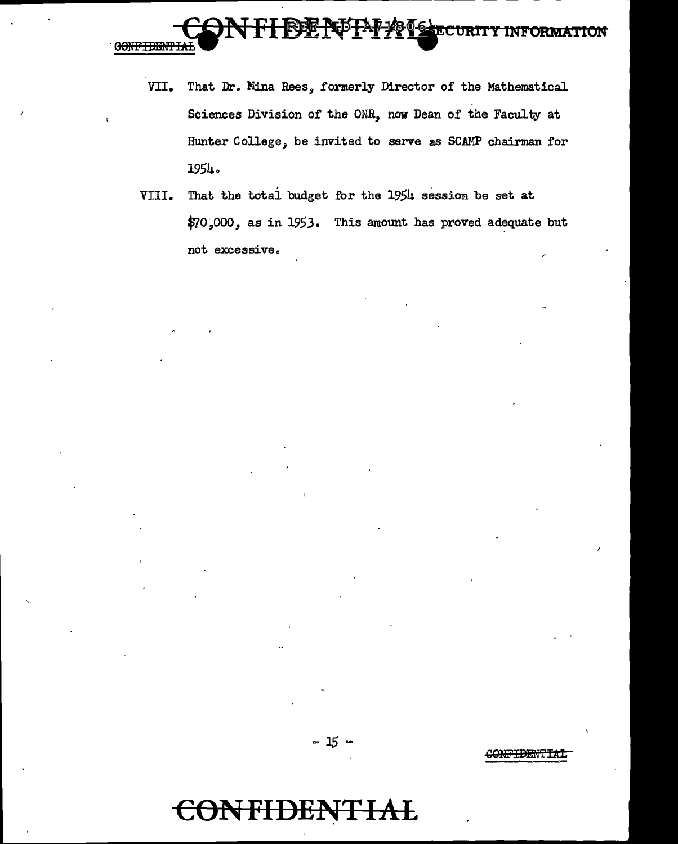

- VII. That Dr. Mina Rees, formerly Director of the Mathematical Sciences Division of the ONR, now Dean of the Faculty at Hunter College, be invited to serve as SCAMP chairman for 1954.
- VIII. That the totai budget for the 1954 session be set at \$70~000, as in 1953. This amount has proved adequate but not excessive.



C<del>ONFIDENTIAL</del>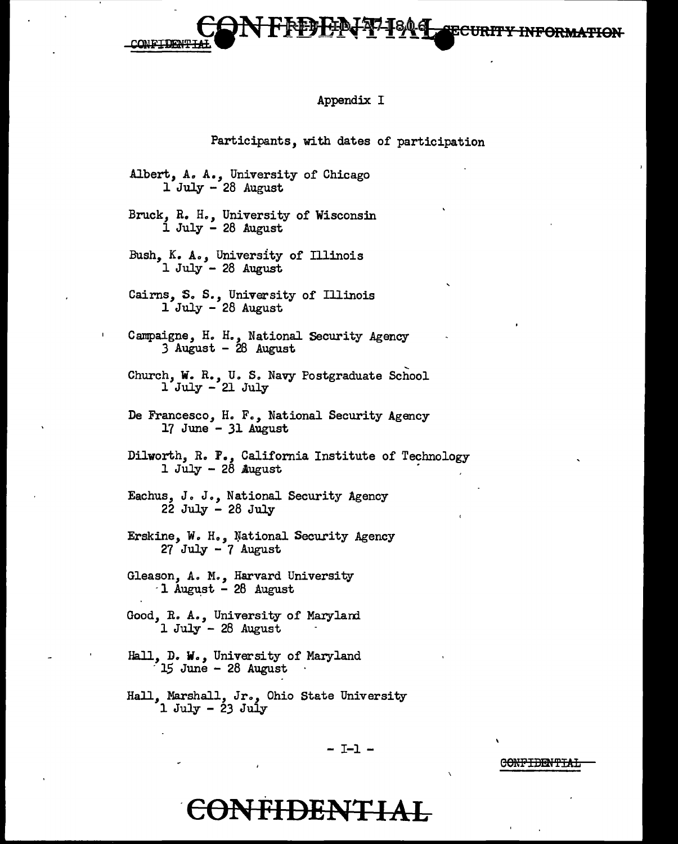**CONFIDENT** 

#### Appendix I

 $\mathbf{I}$   $\mathbf{Y}$   $\mathbf{I}$   $\mathbf{I}$   $\mathbf{C}$  URITY INFORMATION

CONFIDENTIAI

#### Participants, with dates of participation

Albert, *Ao* A., University of Chicago 1 July - 28 August

Bruck, R. H., University of Wisconsin 1 July - 28 August

Bush, K. *A.,* University of Illinois  $1$  July - 28 August

Cairns, 5. *S.,* University of Illinois 1 July - 28 August

Campaigne, H. H., National Security Agency *3* August - 28 August

Church, W. R., U. S. Navy Postgraduate School 1 July - 21 July

De Francesco, H. F., National Security Agency 17 June - 31 August

Dilworth, R. 1., California Institute of Technology 1 July  $-2\delta$  August

Eachus, J. *J.,* National Security Agency 22 July - 28 July

Erskine, W. Ho, }Jational Security Agency  $27$  July -  $7$  August

Gleason, A. M., Harvard University  $-1$  August - 28 August

Good, R. A., University of Marylard 1 July - 28 August

Hall, D. W., University of Maryland 15 June - 28 August

Hall, Marshall, Jr., Ohio State University 1 July - 23 July

- I-1 -

### **-coNFIDENTI2AAL**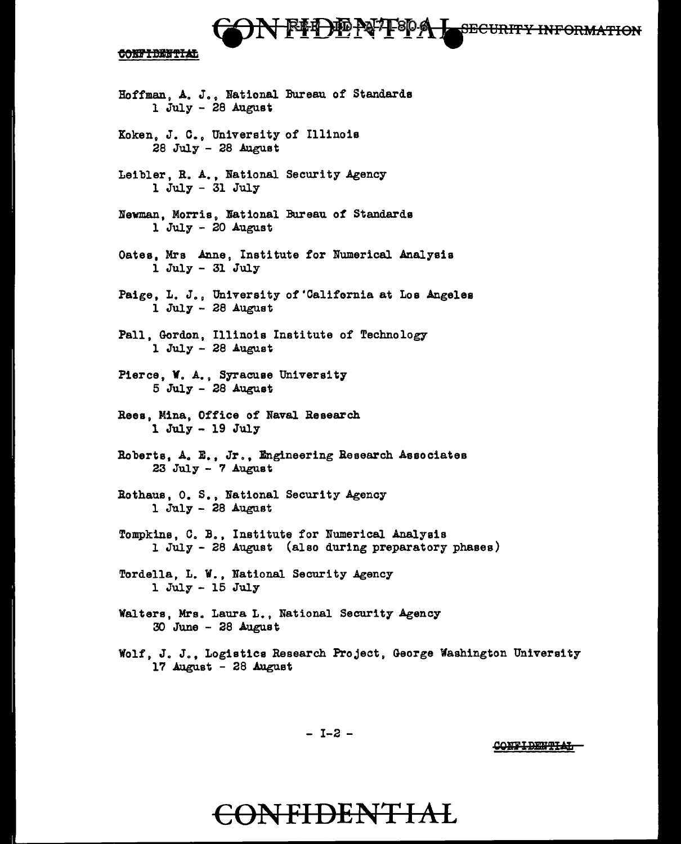# **SECURITY INFORMATION**

CONFIDENTIAL

Hoffman, A. J., National Bureau of Standards 1 July - 28 August Koken, J. C., University of Illinois 28 July - 28 August Leibler, R. A., National Security Agency 1 July - 31 July Newman, Morris, National Bureau of Standards  $1$  July - 20 August Oates, Mrs Anne, Institute for Numerical Analysis 1 July - 31 July Paige, L. J., University of'California at Los Angeles  $1$  July - 28 August Pall, Gordon, Illinois Institute of Technology 1 July - 28 August Pierce, **V.** A., Syracuse University 5 July - 28 August Rees, Mina, Office of Naval Research 1 July - 19 July Roberts, Ao E., Jr., Engineering Research Associates 23 July - 7 August Rothaus, o. s., National Security Agency 1 July - 28 August Tompkins, C. B., Institute for Numerical Analysis 1 July - 28 August (also during preparatory phases) Tordella, L. W., National Security Agency 1 July - 15 July Walters, Mrs. Laura L., National Security Agency  $30$  June -  $28$  August

Wolf, J. J., Logistics Research Project, George Washington University  $17$  August - 28 August

- I-2 -

**CONFIDENTIAL**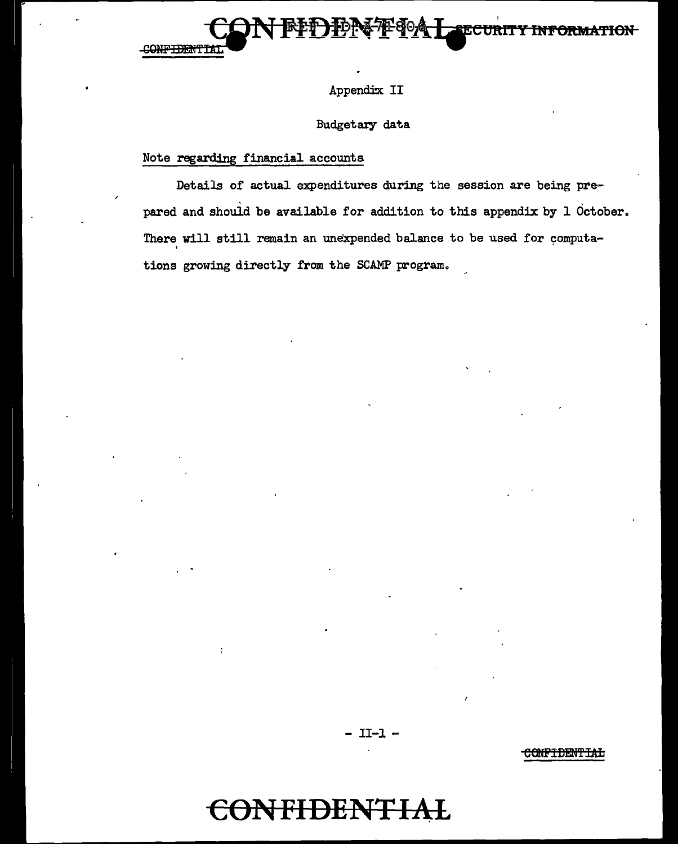



Appendix II

### Budgetary data

### Note regarding financial accounts

Details of actual expenditures during the session are being pre pared and should be available for addition to this appendix by  $1$  October. There will still remain an unexpended balance to be used for computations growing directly from the SCAMP program.

- II-1 -

<del>CONFIDENTIAL</del>

# **CONFIDENTl2\L**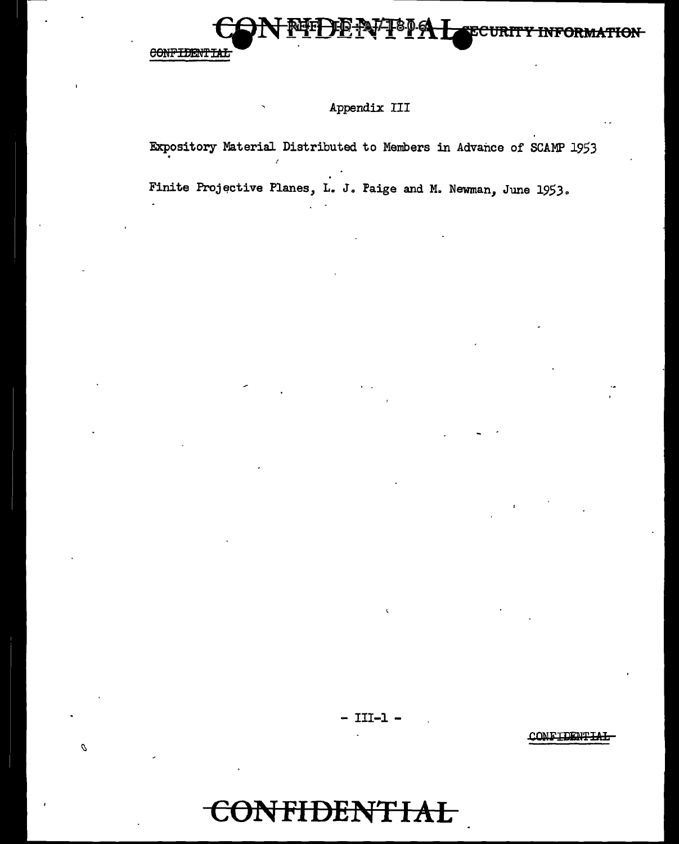

Ó

### Appendix III

Expository Material Distributed to Members in Advance of SCAMP 1953

Finite Projective Planes, L. J. Faige and M. Newman, June 1953.

 $- III-1 -$ 

CONFIDENTIAL

# **TFIDENTIAL**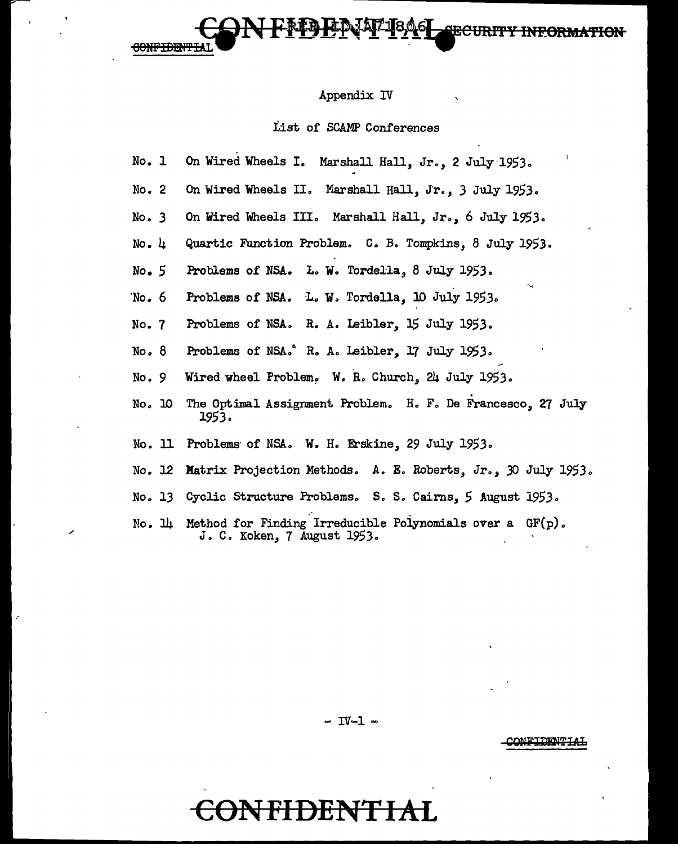#### Appendix IV

**SRCH** 

#### List of SCAMP Conferences

- No. 1 On Wired Wheels I. Marshall Hall, Jr., 2 July·1953.
- No. 2 On Wired Wheels II. Marshall Hall, Jr., 3 July 1953.
- No. 3 On Wired Wheels III. Marshall Hall, Jr., 6 July 1953.
- No. 4 Quartic Function Problem. C. B. Tompkins, 8 July 1953.
- No. *5*  Problems of NSA. L. W. Tordella, 8 July 1953.

**CONFIDENTIA** 

- "No. 6 Problems of NSA. L. W. Tordella, 10 July 1953.
- No. 7 Problems of NSA. R. A. Isibler, 15 July 1953.
- No. 8 Problems of NSA." R. A. Leibler, 17 July 1953.
- No. 9 Wired wheel Froblem. W. R. Church, 24 July 1953.
- No. 10 The Optimal Assignment Problem. H. F. De Francesco, 27 July 1953.
- No. 11 Problems of NSA. W. H. Erskine, 29 July 1953.

/

- No. 12 Matrix Projection Methods. A. E. Roberts, Jr., 30 July 1953.
- No. 13 Cyclic Structure Problems. S. S. Cairns, 5 August 1953.
- No.  $\mathbb{L}$  Method for Finding Irreducible Polynomials over a GF(p). J.C. Koken, 7 August 1953.

- IV-1 -

#### CONFIDENTIAI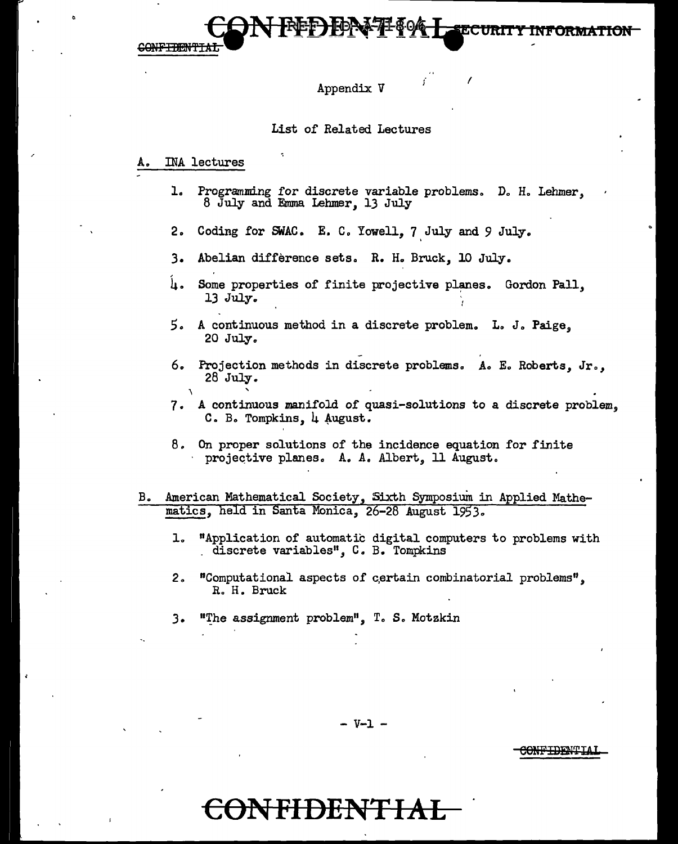<del>CONFIDENT</del>

#### Appendix *V*

#### List of Related Lectures

#### INA lectures

\

1. Programming for discrete variable problems. D. H. Lehmer, 8 July and Emma Lehmer, 13 July

I

- 2o Coding for SWAC. E. C. Yowell, 7 July and *9* July.
- 3. Abelian difference sets. R. H. Bruck, 10 July.
- $\mu$ . Some properties of finite projective planes. Gordon Pall, 13 July. .
- *5* o A continuous method in a discrete problem. Lo J. Paige, 20 July.
- 6. Projection methods in discrete problems. A. E. Roberts, Jr., 28 July.
- 7. A continuous manifold of quasi-solutions to a discrete problem. C. B. Tompkins, 4 August.
- 8. On proper solutions of the incidence equation for finite · projective planes. A. A. Albert, 11 August.
- B. American Mathematical Society, Sixth Symposium in Applied Mathematics, held in Santa Monica, 26-28 August 1953.
	- 1. "Application of automatic digital computers to problems with \_ discrete variables", C. B. Tompkins
	- 2. "Computational aspects of certain combinatorial problems", R. H. Bruck
	- 3. **"The assignment problem", T. S. Motzkin**

- V-1 -

CONFIDENTIA

### r<del>ident</del>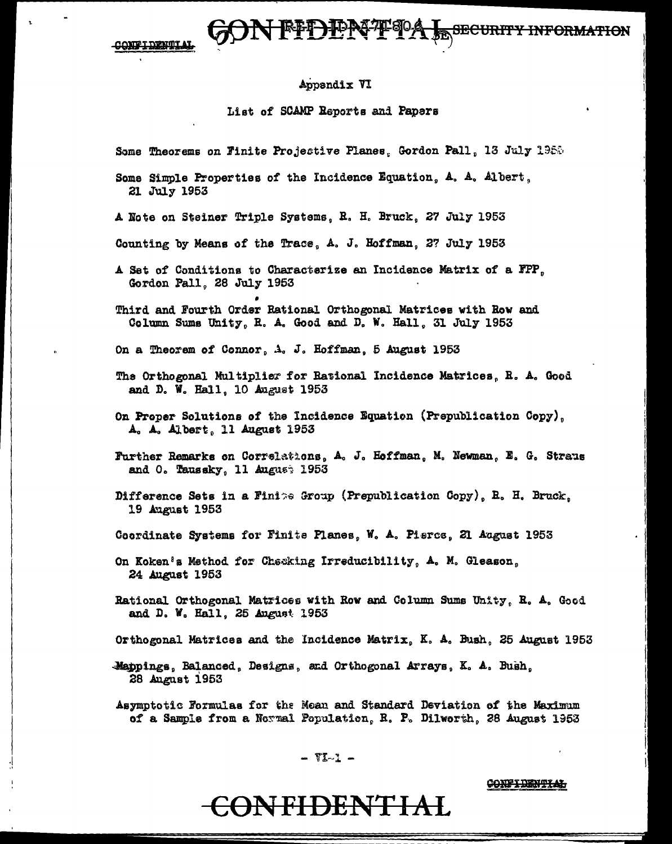**UEFLICK** CONFIDENTIAL

#### Appendix VI

List of SCAMP Reports and Papers

Some Theorems on Finite Projective Planes, Gordon Pall, 13 July 1988

Some Simple Properties of the Incidence Equation, A. A. Albert, 21 July 1953

A Note on Steiner Triple Systems, R. H. Bruck, 27 July 1953

Counting by Means of the Trace, A. J. Hoffman, 27 July 1953

A Set of Conditions to Characterize an Incidence Matrix of a FPP, Gordon Pall, 28 July 1953

Third and Fourth Order Rational Orthogonal Matrices with Row and Column Sums Unity, R. A. Good and D. W. Hall, 31 July 1953

On a Theorem of Connor, A. J. Hoffman, 5 August 1953

- The Orthogonal Multiplier for Rational Incidence Matrices, R. A. Good and D. W. Hall, 10 August 1953
- On Proper Solutions of the Incidence Equation (Prepublication Copy), A. A. Albert, 11 August 1953
- Further Remarks on Correlations, A. J. Hoffman, M. Newman, E. G. Straus and O. Taussky, 11 August 1953
- Difference Sets in a Finite Group (Prepublication Copy), R. H. Bruck, 19 August 1953
- Coordinate Systems for Finite Planes, W. A. Pierce, 21 August 1953
- On Koken's Method for Checking Irreducibility, A. M. Gleason, 24 August 1953

Rational Orthogonal Matrices with Row and Column Sums Unity, R. A. Good and D. W. Hall, 25 August 1953

- Orthogonal Matrices and the Incidence Matrix, K. A. Bush, 25 August 1953
- Mappings, Balanced, Designs, and Orthogonal Arrays, K. A. Bush, 28 August 1953

Asymptotic Formulas for the Mean and Standard Deviation of the Maximum of a Sample from a Normal Population, R. P. Dilworth, 28 August 1953

- VI-1 -

CONFIDENTIAL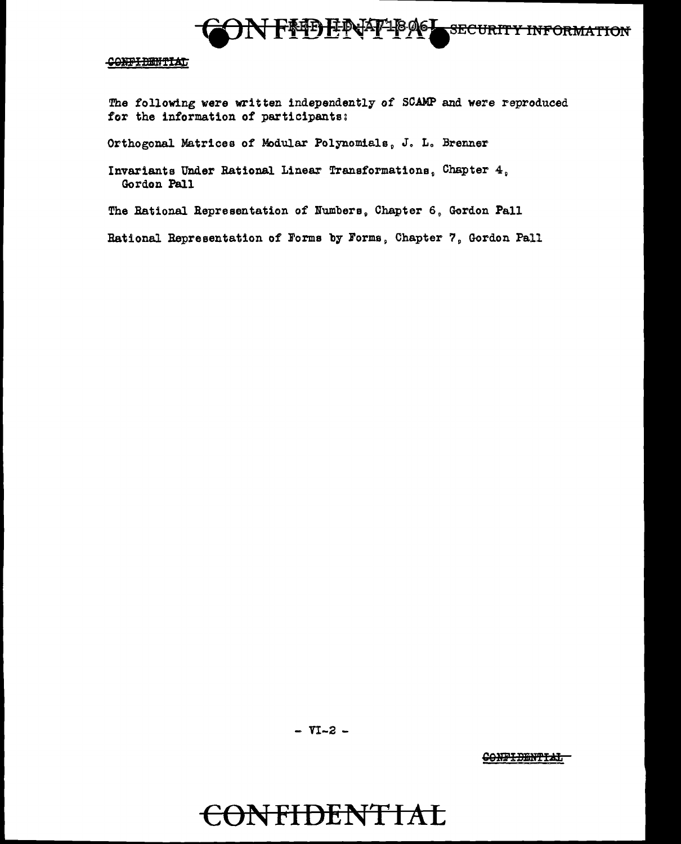

The following were written independently of SCAMP and were reproduced for the information of participants:

Orthogonal Matrices of Modular Polynomials, J. L. Brenner

Invariants Under Rational Linear Transformations, Chapter 4, Gordon Pall

The Rational Representation of Numbers, Chapter 6, Gordon Pall

Rational Representation of Forms by Forms, Chapter 7, Gordon Pall

- VI-2 -

CONFIDENTIAL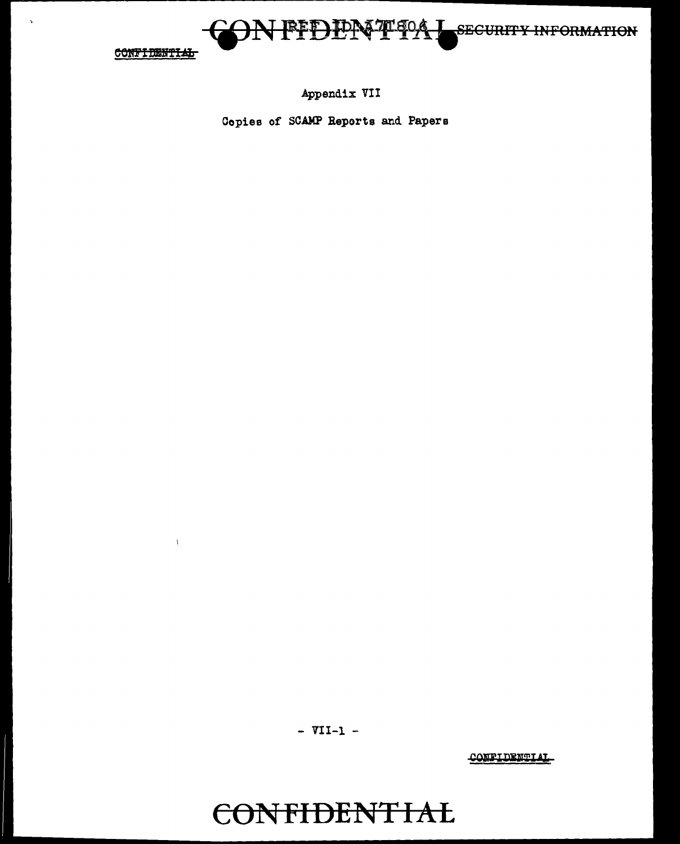

 $\bar{V}$ 

 $\Delta$ 

Appendix VII

Copies of SCAMP Reports and Papers

 $-$  VII-1 -

**CONFIDENTIAL**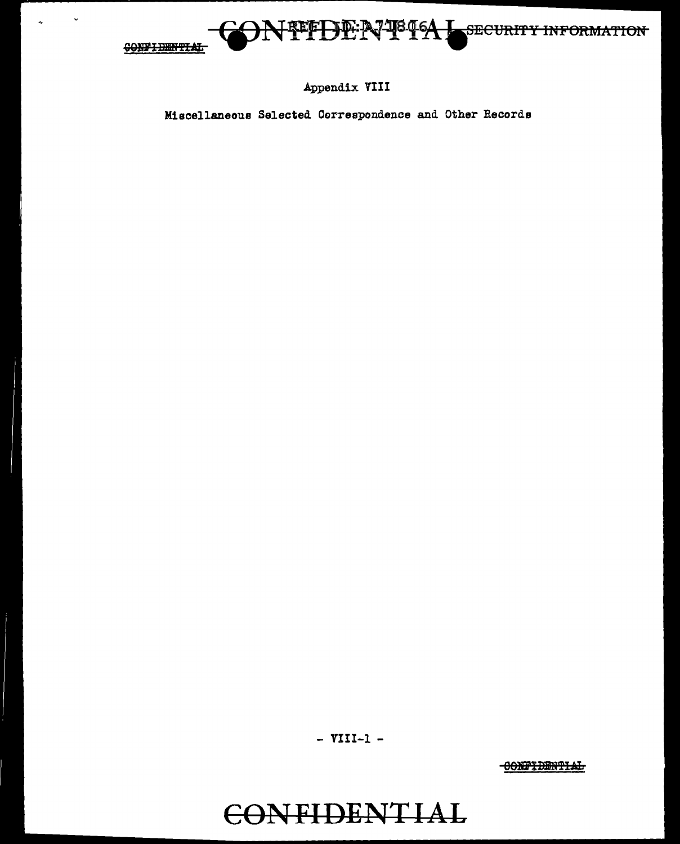

Appendix VIII

Miscellaneous Selected Correspondence and Other Records

- VIII-1 -

**CONFIDENTIAL**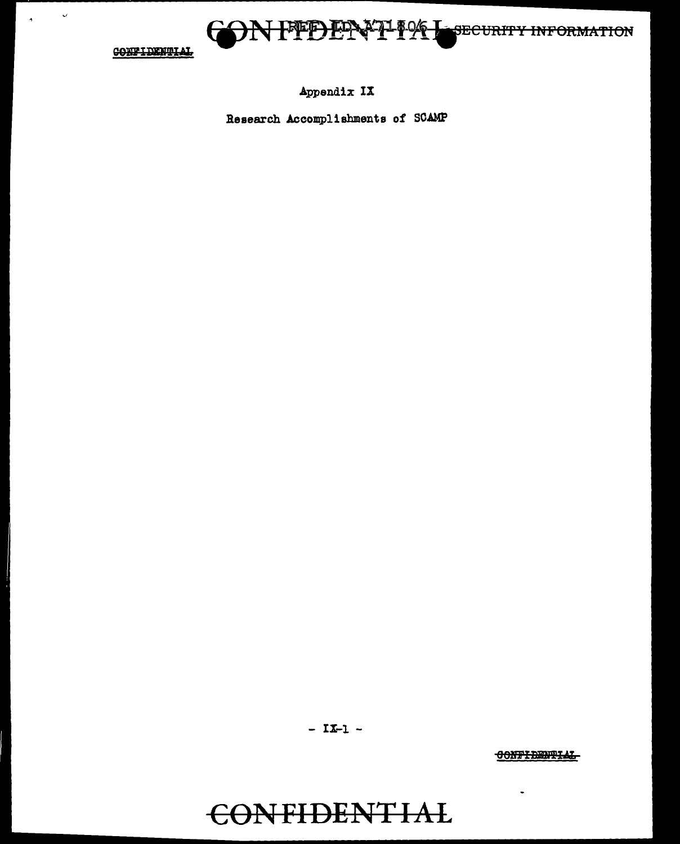

 $\mathbf{v}$ 

 $\rightarrow$ 

### Appendix IX

Research Accomplishments of SCAMP

 $- IX-1 -$ 

CONFIDENTIAL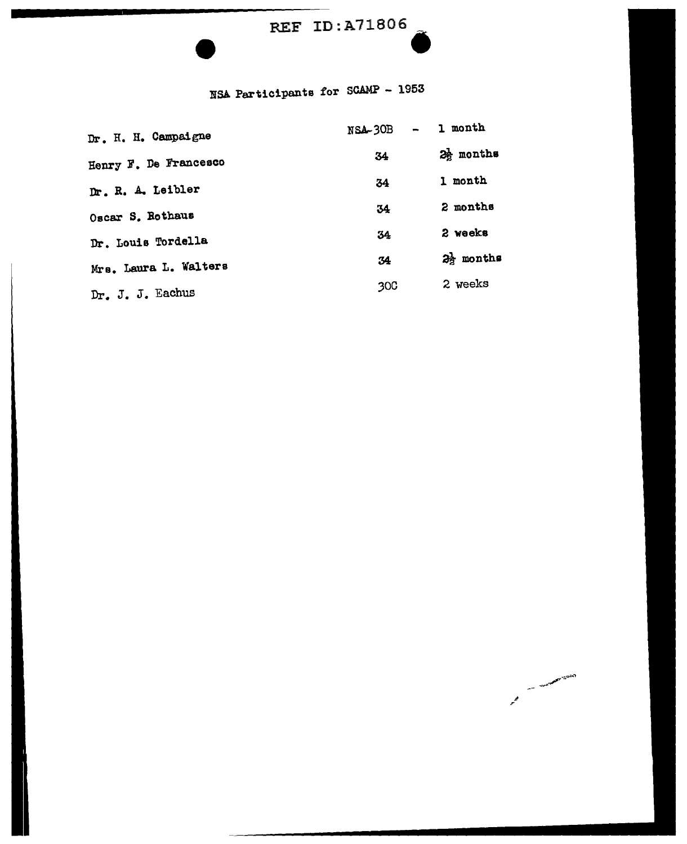### REF ID:A71806

**AND TO BE THE R. P. LEWIS CO., LANSING** 

المحمو

# $\ddot{\bullet}$ NSA Participants for SCAMP - 1953

| Dr. H. H. Campaigne   | <b>NSA-30B</b> | 1 month               |
|-----------------------|----------------|-----------------------|
| Henry F. De Francesco | 34             | $2\frac{1}{2}$ months |
| Dr. R. A. Leibler     | 34             | 1 month               |
| Oscar S. Rothaus      | 34             | 2 months              |
| Dr. Louis Tordella    | 34             | 2 weeks               |
| Mrs. Laura L. Walters | 34             | 23 months             |
| Dr. J. J. Eachus      | 30C            | 2 weeks               |
|                       |                |                       |